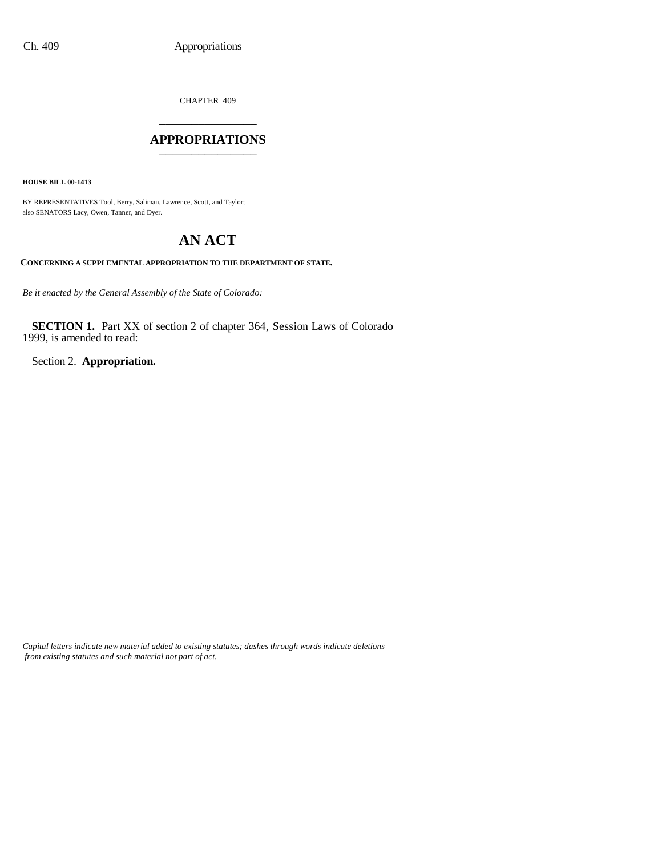CHAPTER 409 \_\_\_\_\_\_\_\_\_\_\_\_\_\_\_

#### **APPROPRIATIONS** \_\_\_\_\_\_\_\_\_\_\_\_\_\_\_

**HOUSE BILL 00-1413**

BY REPRESENTATIVES Tool, Berry, Saliman, Lawrence, Scott, and Taylor; also SENATORS Lacy, Owen, Tanner, and Dyer.

# **AN ACT**

#### **CONCERNING A SUPPLEMENTAL APPROPRIATION TO THE DEPARTMENT OF STATE.**

*Be it enacted by the General Assembly of the State of Colorado:*

**SECTION 1.** Part XX of section 2 of chapter 364, Session Laws of Colorado 1999, is amended to read:

Section 2. **Appropriation.**

*Capital letters indicate new material added to existing statutes; dashes through words indicate deletions from existing statutes and such material not part of act.*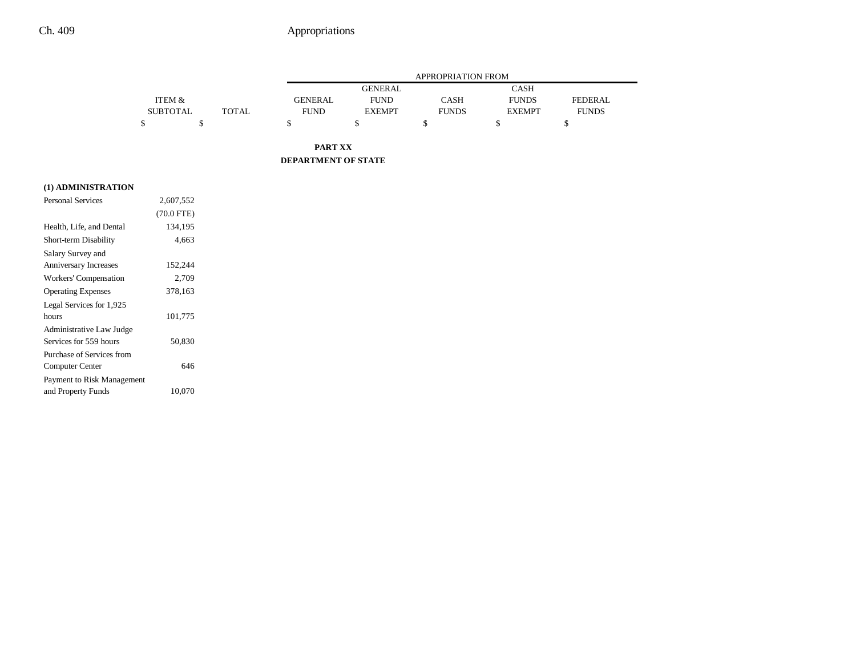## Ch. 409 Appropriations

|                 |       | APPROPRIATION FROM |               |              |               |                |
|-----------------|-------|--------------------|---------------|--------------|---------------|----------------|
|                 |       |                    | GENERAL       |              | CASH          |                |
| ITEM &          |       | <b>GENERAL</b>     | <b>FUND</b>   | CASH         | <b>FUNDS</b>  | <b>FEDERAL</b> |
| <b>SUBTOTAL</b> | TOTAL | <b>FUND</b>        | <b>EXEMPT</b> | <b>FUNDS</b> | <b>EXEMPT</b> | <b>FUNDS</b>   |
|                 |       |                    |               |              |               |                |

**PART XX DEPARTMENT OF STATE**

|  |  | (1) ADMINISTRATION |
|--|--|--------------------|
|  |  |                    |

| Personal Services          | 2,607,552    |  |
|----------------------------|--------------|--|
|                            | $(70.0$ FTE) |  |
| Health, Life, and Dental   | 134,195      |  |
| Short-term Disability      | 4,663        |  |
| Salary Survey and          |              |  |
| Anniversary Increases      | 152,244      |  |
| Workers' Compensation      | 2,709        |  |
| <b>Operating Expenses</b>  | 378,163      |  |
| Legal Services for 1,925   |              |  |
| hours                      | 101,775      |  |
| Administrative Law Judge   |              |  |
| Services for 559 hours     | 50,830       |  |
| Purchase of Services from  |              |  |
| Computer Center            | 646          |  |
| Payment to Risk Management |              |  |
| and Property Funds         | 10,070       |  |
|                            |              |  |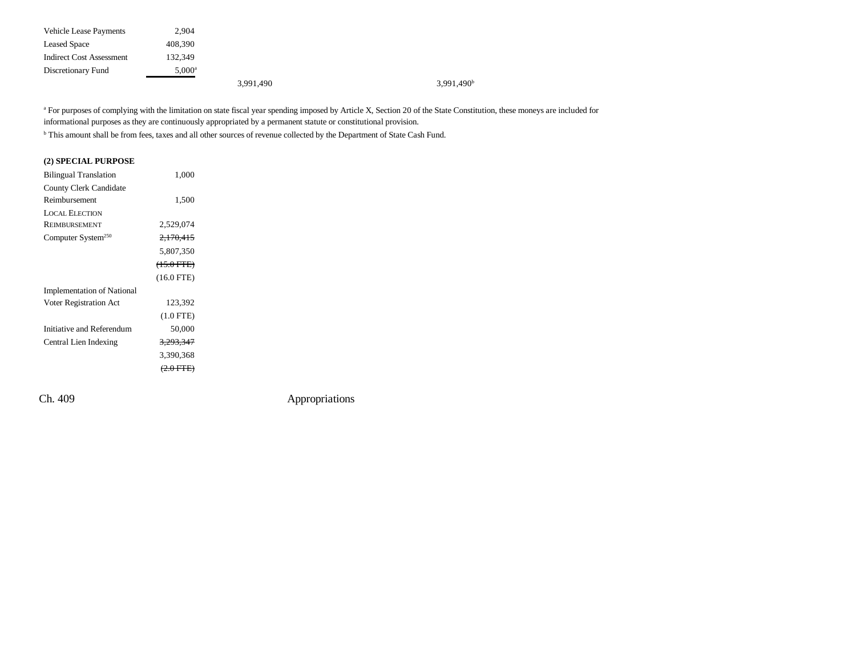| <b>Vehicle Lease Payments</b> | 2,904           |           |                        |
|-------------------------------|-----------------|-----------|------------------------|
| <b>Leased Space</b>           | 408,390         |           |                        |
| Indirect Cost Assessment      | 132.349         |           |                        |
| Discretionary Fund            | $5,000^{\rm a}$ |           |                        |
|                               |                 | 3,991,490 | 3,991,490 <sup>b</sup> |

<sup>a</sup> For purposes of complying with the limitation on state fiscal year spending imposed by Article X, Section 20 of the State Constitution, these moneys are included for informational purposes as they are continuously appropriated by a permanent statute or constitutional provision.

<sup>b</sup> This amount shall be from fees, taxes and all other sources of revenue collected by the Department of State Cash Fund.

| (2) SPECIAL PURPOSE               |                      |  |
|-----------------------------------|----------------------|--|
| <b>Bilingual Translation</b>      | 1,000                |  |
| County Clerk Candidate            |                      |  |
| Reimbursement                     | 1,500                |  |
| <b>LOCAL ELECTION</b>             |                      |  |
| <b>REIMBURSEMENT</b>              | 2,529,074            |  |
| Computer System <sup>250</sup>    | 2,170,415            |  |
|                                   | 5,807,350            |  |
|                                   | $(15.0 \text{ FFE})$ |  |
|                                   | $(16.0$ FTE)         |  |
| <b>Implementation of National</b> |                      |  |
| Voter Registration Act            | 123,392              |  |
|                                   | $(1.0$ FTE)          |  |
| Initiative and Referendum         | 50,000               |  |
| Central Lien Indexing             | <del>3.293.347</del> |  |
|                                   | 3,390,368            |  |
|                                   | $(2.0$ FTE)          |  |
|                                   |                      |  |

Ch. 409 Appropriations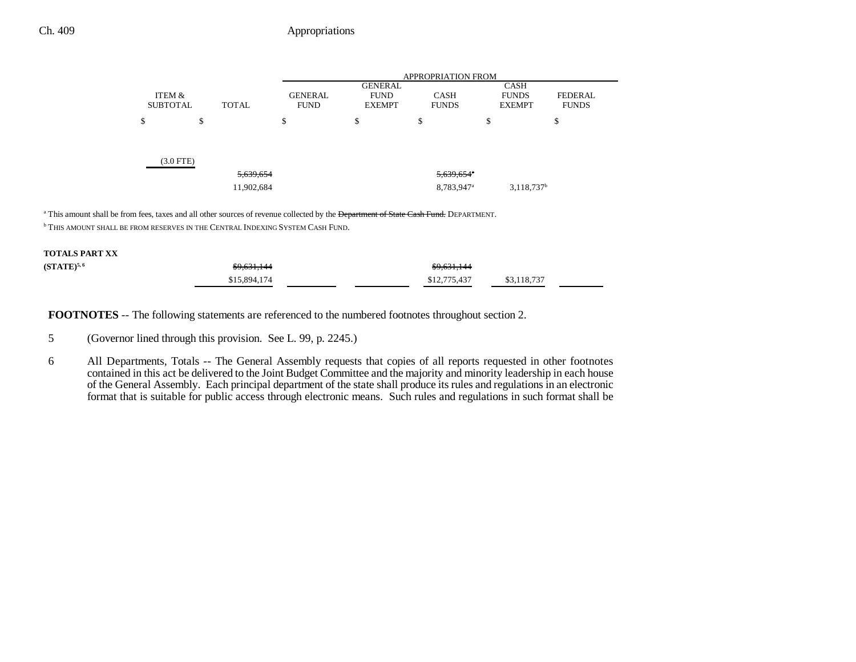### Ch. 409 Appropriations

|                           |              | <b>APPROPRIATION FROM</b>     |                                                |                             |    |                                              |                                |
|---------------------------|--------------|-------------------------------|------------------------------------------------|-----------------------------|----|----------------------------------------------|--------------------------------|
| ITEM &<br><b>SUBTOTAL</b> | <b>TOTAL</b> | <b>GENERAL</b><br><b>FUND</b> | <b>GENERAL</b><br><b>FUND</b><br><b>EXEMPT</b> | <b>CASH</b><br><b>FUNDS</b> |    | <b>CASH</b><br><b>FUNDS</b><br><b>EXEMPT</b> | <b>FEDERAL</b><br><b>FUNDS</b> |
| \$                        | \$           | \$                            | ¢<br>Φ                                         | \$                          | \$ |                                              | \$                             |
|                           |              |                               |                                                |                             |    |                                              |                                |
| (3.0 FTE)                 |              |                               |                                                |                             |    |                                              |                                |
|                           | 5,639,654    |                               |                                                | $5,639,654$ <sup>*</sup>    |    |                                              |                                |
|                           | 11,902,684   |                               |                                                | 8,783,947 <sup>a</sup>      |    | $3,118,737$ <sup>b</sup>                     |                                |

<sup>a</sup> This amount shall be from fees, taxes and all other sources of revenue collected by the **Department of State Cash Fund**. DEPARTMENT.

 $^{\rm b}$  This amount shall be from reserves in the Central Indexing System Cash Fund.

| <b>TOTALS PART XX</b> |                        |                        |             |
|-----------------------|------------------------|------------------------|-------------|
| $(STATE)^{5,6}$       | <del>\$9,631,144</del> | <del>\$9,631,144</del> |             |
|                       | \$15,894,174           | \$12,775,437           | \$3,118,737 |

**FOOTNOTES** -- The following statements are referenced to the numbered footnotes throughout section 2.

- 5 (Governor lined through this provision. See L. 99, p. 2245.)
- 6 All Departments, Totals -- The General Assembly requests that copies of all reports requested in other footnotes contained in this act be delivered to the Joint Budget Committee and the majority and minority leadership in each house of the General Assembly. Each principal department of the state shall produce its rules and regulations in an electronic format that is suitable for public access through electronic means. Such rules and regulations in such format shall be